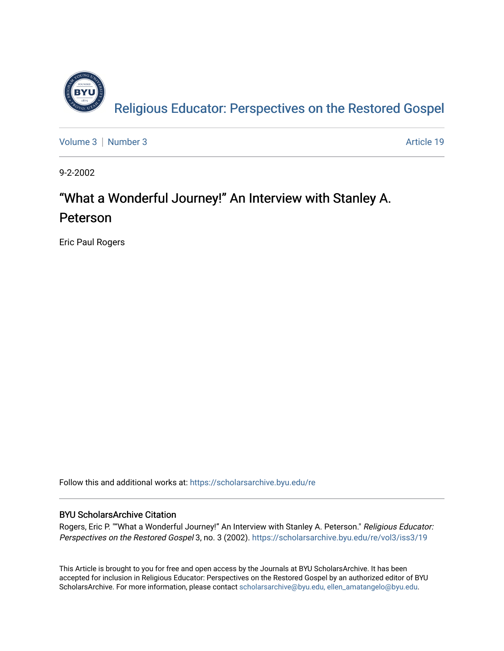

[Volume 3](https://scholarsarchive.byu.edu/re/vol3) | [Number 3](https://scholarsarchive.byu.edu/re/vol3/iss3) Article 19

9-2-2002

#### "What a Wonderful Journey!" An Interview with Stanley A. Peterson

Eric Paul Rogers

Follow this and additional works at: [https://scholarsarchive.byu.edu/re](https://scholarsarchive.byu.edu/re?utm_source=scholarsarchive.byu.edu%2Fre%2Fvol3%2Fiss3%2F19&utm_medium=PDF&utm_campaign=PDFCoverPages)

#### BYU ScholarsArchive Citation

Rogers, Eric P. ""What a Wonderful Journey!" An Interview with Stanley A. Peterson." Religious Educator: Perspectives on the Restored Gospel 3, no. 3 (2002). https://scholarsarchive.byu.edu/re/vol3/iss3/19

This Article is brought to you for free and open access by the Journals at BYU ScholarsArchive. It has been accepted for inclusion in Religious Educator: Perspectives on the Restored Gospel by an authorized editor of BYU ScholarsArchive. For more information, please contact [scholarsarchive@byu.edu, ellen\\_amatangelo@byu.edu.](mailto:scholarsarchive@byu.edu,%20ellen_amatangelo@byu.edu)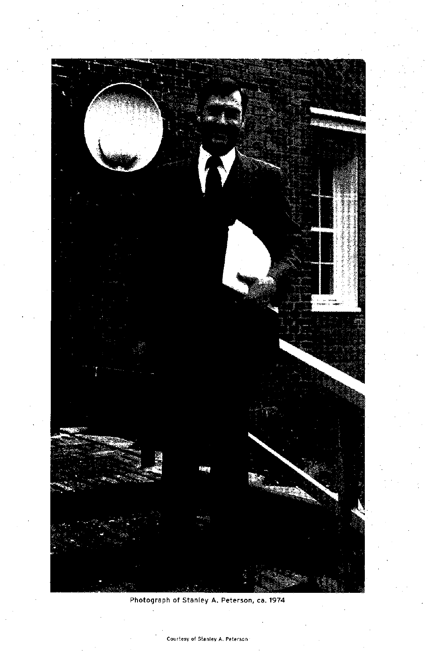

Photograph of Stanley A. Peterson, ca. 1974

Courtesy of Stanley A. Peterson -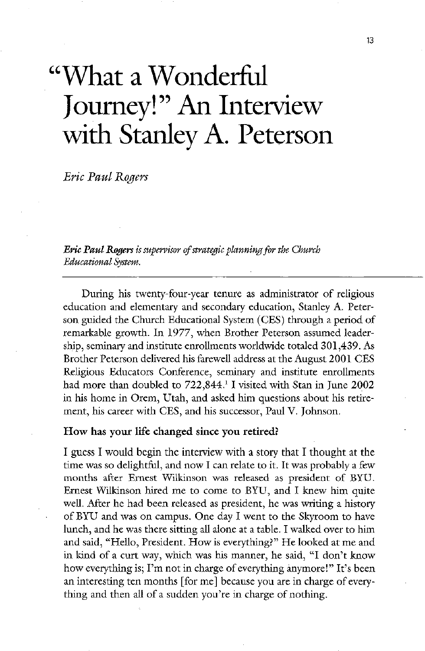# what a wonderful Journey!" An Interview with Stanley A. Peterson

# How has your life changed since you retired?

Eric Paul Rogers

I guess I would begin the interview with a story that I thought at the time was so delightful, and now I can relate to it. It was probably a few months after Ernest Wilkinson was released as president of BYU. Ernest Wilkinson hired me to come to BYU, and I knew him quite well. After he had been released as president, he was writing a history of BYU and was on campus. One day I went to the Skyroom to have lunch, and he was there sitting all alone at a table. I walked over to him and said, "Hello, President. How is everything?" He looked at me and in kind of a curt way, which was his manner, he said, "I don't know how everything is; I'm not in charge of everything anymore!" It's been an interesting ten months  $\lceil \text{for me} \rceil$  because you are in charge of everything and then all of a sudden you're in charge of nothing.

Eric Paul Rogers is supervisor of strategic planning for the Church Educational System.

During his twenty-four-year tenure as administrator of religious education and elementary and secondary education, Stanley A. Peterson guided the Church Educational System (CES) through a period of remarkable growth. In 1977, when Brother Peterson assumed leadership, seminary and institute enrollments worldwide totaled 301,439. As Brother Peterson delivered his farewell address at the August 2001 CES Religious Educators Conference, seminary and institute enrollments had more than doubled to 722,844.<sup>1</sup> I visited with Stan in June 2002 in his home in Orem, Utah, and asked him questions about his retirement, his career with CES, and his successor, Paul V. Johnson.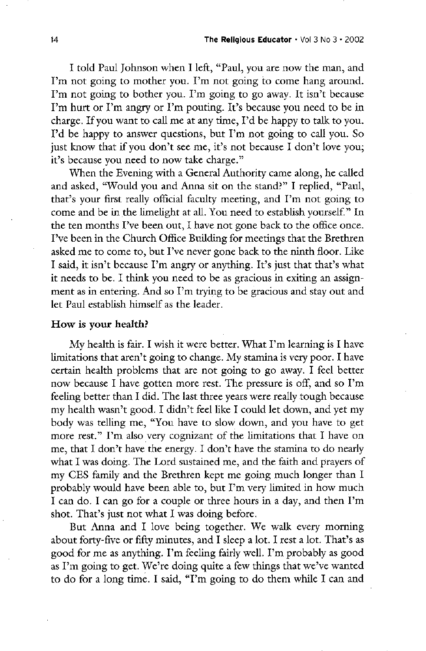I told Paul Johnson when I left, "Paul, you are now the man, and I'm not going to mother you. I'm not going to come hang around. I'm not going to bother you. I'm going to go away. It isn't because I'm hurt or I'm angry or I'm pouting. It's because you need to be in charge. If you want to call me at any time, I'd be happy to talk to you. I'd be happy to answer questions, but I'm not going to call you. So just know that if you don't see me, it's not because I don't love you; it's because you need to now take charge."

When the Evening with a General Authority came along, he called and asked, "Would you and Anna sit on the stand?" I replied, "Paul, that's your first really official faculty meeting, and I'm not going to come and be in the limelight at all. You need to establish yourself." In the ten months I've been out, I have not gone back to the office once. I've been in the Church Office Building for meetings that the Brethren asked me to come to, but I've never gone back to the ninth floor. Like I said, it isn't because I'm angry or anything. It's just that that's what it needs to be. I think you need to be as gracious in exiting an assignment as in entering. And so  $\Gamma$ m trying to be gracious and stay out and let Paul establish himself as the leader.

#### How is your health?

My health is fair. I wish it were better. What  $\Gamma$ m learning is I have limitations that aren't going to change. My stamina is very poor. I have certain health problems that are not going to go away. I feel better now because I have gotten more rest. The pressure is off, and so  $\Gamma m$ feeling better than I did. The last three years were really tough because my health wasn't good. I didn't feel like I could let down, and yet my body was telling me, "You have to slow down, and you have to get more rest." I'm also very cognizant of the limitations that I have on me, that I don't have the energy. I don't have the stamina to do nearly what I was doing. The Lord sustained me, and the faith and prayers of my CES family and the Brethren kept me going much longer than I probably would have been able to, but I'm very limited in how much I can do. I can go for a couple or three hours in a day, and then I'm shot. That's just not what I was doing before.

But Anna and I love being together. We walk every morning about forty-five or fifty minutes, and I sleep a lot. I rest a lot. That's as good for me as anything. I'm feeling fairly well. I'm probably as good as I'm going to get. We're doing quite a few things that we've wanted to do for a long time. I said, "I'm going to do them while I can and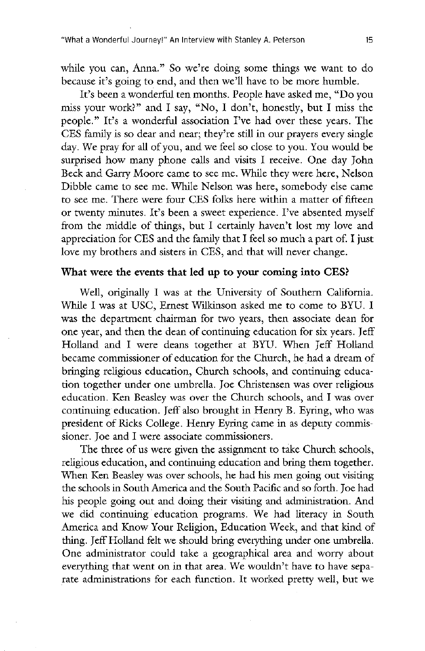while you can, Anna." So we're doing some things we want to do because it's going to end, and then we'll have to be more humble.

It's been a wonderful ten months. People have asked me, "Do you miss your work?" and I say, "No, I don't, honestly, but I miss the people." It's a wonderful association I've had over these years. The CES family is so dear and near; they're still in our prayers every single day. We pray for all of you, and we feel so close to you. You would be surprised how many phone calls and visits I receive. One day John Beck and Garry Moore came to see me. While they were here, Nelson Dibble came to see me. While Nelson was here, somebody else came to see me. There were four CES folks here within a matter of fifteen or twenty minutes. It's been a sweet experience. I've absented myself from the middle of things, but I certainly haven't lost my love and appreciation for CES and the family that I feel so much a part of. I just love my brothers and sisters in CES, and that will never change.

#### What were the events that led up to your coming into CES?

Well, originally I was at the University of Southern California. While I was at USC, Ernest Wilkinson asked me to come to BYU. I was the department chairman for two years, then associate dean for

one year, and then the dean of continuing education for six years. Jeff Holland and I were deans together at BYU. When Jeff Holland became commissioner of education for the Church, he had a dream of bringing religious education, Church schools, and continuing education together under one umbrella. Joe Christensen was over religious education. Ken Beasley was over the Church schools, and I was over continuing education. Jeff also brought in Henry B. Eyring, who was president of Ricks College. Henry Eyring came in as deputy commissioner. Joe and I were associate commissioners.

The three of us were given the assignment to take Church schools, religious education, and continuing education and bring them together. When Ken Beasley was over schools, he had his men going out visiting the schools in South America and the South Pacific and so forth. Joe had his people going out and doing their visiting and administration. And we did continuing education programs. We had literacy in South America and Know Your Religion, Education Week, and that kind of thing. Jeff Holland felt we should bring everything under one umbrella. One administrator could take a geographical area and worry about everything that went on in that area. We wouldn't have to have separate administrations for each function. It worked pretty well, but we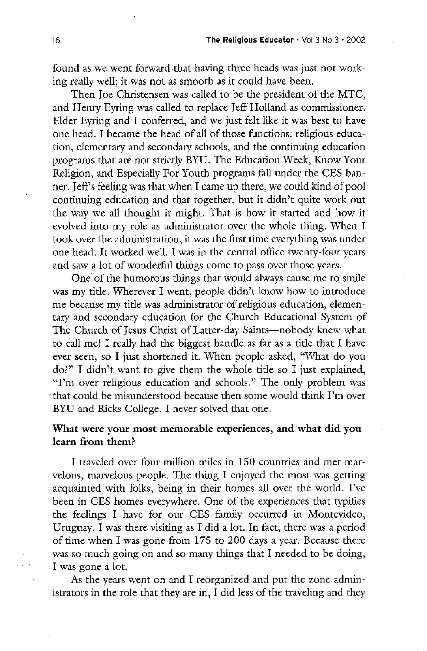found as we went forward that having three heads was just not work ing really well; it was not as smooth as it could have been.

Then Joe Christensen was called to be the president of the MTC, and Henry Eyring was called to replace Jeff Holland as commissioner. Elder Eyring and I conferred, and we just felt like it was best to have one head. I became the head of all of those functions: religious education, elementary and secondary schools, and the continuing education programs that are not strictly BYU. The Education Week, Know Your Religion, and Especially For Youth programs fall under the CES banner. Jeff's feeling was that when I came up there, we could kind of pool continuing education and that together, but it didn't quite work out the way we all thought it might. That is how it started and how it evolved into my role as administrator over the whole thing. When I took over the administration, it was the first time everything was under one head. It worked well. I was in the central office twenty-four years and saw a lot of wonderful things come to pass over those years.

One of the humorous things that would always cause me to smile was my title. Wherever I went, people didn't know how to introduce me because my title was administrator of religious education, elementary and secondary education for the Church Educational System of The Church of Jesus Christ of Latter-day Saints—nobody knew what to call me! I really had the biggest handle as far as a title that I have ever seen, so I just shortened it. When people asked, "What do you do?" I didn't want to give them the whole title so I just explained, "I'm over religious education and schools." The only problem was that could be misunderstood because then some would think I'm over BYU and Ricks College. I never solved that one.

# What were your most memorable experiences, and what did you learn from them

I traveled over four million miles in 150 countries and met marvelous, marvelous people. The thing I enjoyed the most was getting acquainted with folks, being in their homes all over the world. I've been in CES homes everywhere. One of the experiences that typifies the feelings I have for our CES family occurred in Montevideo, Uruguay. I was there visiting as I did a lot. In fact, there was a period of time when I was gone from  $175$  to 200 days a year. Because there was so much going on and so many things that I needed to be doing, I was gone a lot.

As the years went on and I reorganized and put the zone administrators in the role that they are in, I did less of the traveling and they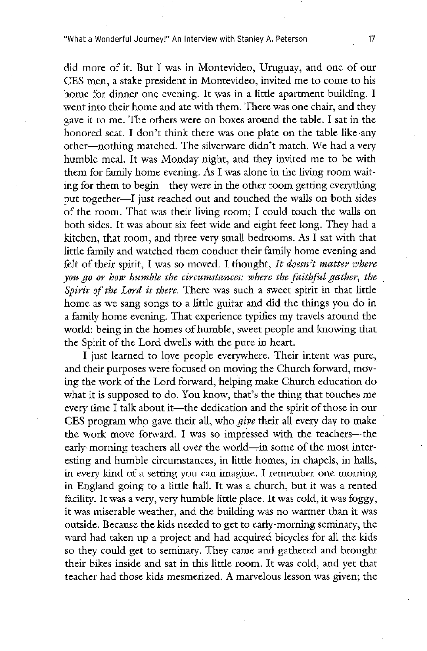"What a Wonderful Journey!" An Interview with Stanley A. Peterson 17

did more of it. But I was in Montevideo, Uruguay, and one of our CES men, a stake president in Montevideo, invited me to come to his home for dinner one evening. It was in a little apartment building. I went into their home and ate with them. There was one chair, and they gave it to me. The others were on boxes around the table. I sat in the honored seat. I don't think there was one plate on the table like any other—nothing matched. The silverware didn't match. We had a very humble meal. It was Monday night, and they invited me to be with them for family home evening. As I was alone in the living room waiting for them to begin—they were in the other room getting everything put together—I just reached out and touched the walls on both sides of the room. That was their living room; I could touch the walls on both sides. It was about six feet wide and eight feet long. They had a kitchen, that room, and three very small bedrooms. As I sat with that little family and watched them conduct their family home evening and felt of their spirit, I was so moved. I thought, It doesn't matter where you go or how humble the circumstances: where the faithful gather, the Spirit of the Lord is there. There was such a sweet spirit in that little home as we sang songs to a little guitar and did the things you do in a family home evening. That experience typifies my travels around the

world: being in the homes of humble, sweet people and knowing that the Spirit of the Lord dwells with the pure in heart.

I just learned to love people everywhere. Their intent was pure, and their purposes were focused on moving the Church forward, moving the work of the Lord forward, helping make Church education do what it is supposed to do. You know, that's the thing that touches me every time I talk about it—the dedication and the spirit of those in our CES program who gave their all, who *give* their all every day to make the work move forward. I was so impressed with the teachers—the early-morning teachers all over the world—in some of the most interesting and humble circumstances, in little homes, in chapels, in halls, in every kind of a setting you can imagine. I remember one morning in England going to a little hall. It was a church, but it was a rented facility. It was a very, very humble little place. It was cold, it was foggy, it was miserable weather, and the building was no warmer than it was outside. Because the kids needed to get to early-morning seminary, the ward had taken up a project and had acquired bicycles for all the kids so they could get to seminary. They came and gathered and brought their bikes inside and sat in this little room. It was cold, and yet that teacher had those kids mesmerized. A marvelous lesson was given; the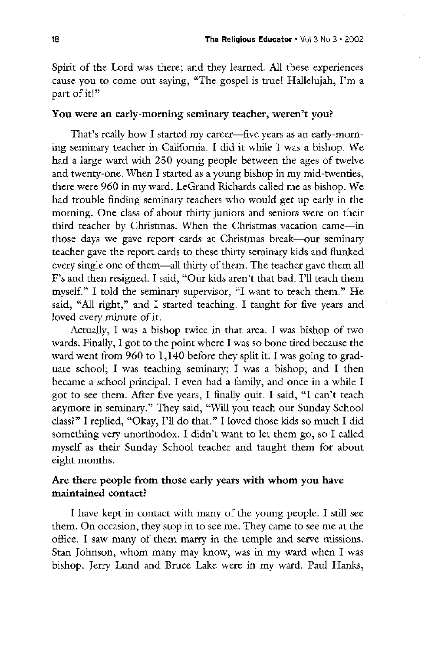Spirit of the Lord was there; and they learned. All these experiences cause you to come out saying, "The gospel is true! Hallelujah, I'm a part of it

#### You were an early-morning seminary teacher, weren't you?

That's really how I started my career—five years as an early-morning seminary teacher in California. I did it while I was a bishop. We had a large ward with 250 young people between the ages of twelve and twenty-one. When I started as a young bishop in my mid-twenties, there were 960 in my ward. LeGrand Richards called me as bishop. We had trouble finding seminary teachers who would get up early in the morning. One class of about thirty juniors and seniors were on their third teacher by Christmas. When the Christmas vacation came-in those days we gave report cards at Christmas break—our seminary teacher gave the report cards to these thirty seminary kids and flunked every single one of them—all thirty of them. The teacher gave them all F's and then resigned. I said, "Our kids aren't that bad. I'll teach them myself." I told the seminary supervisor, "I want to teach them." He said, "All right," and I started teaching. I taught for five years and loved every minute of it Actually, I was a bishop twice in that area. I was bishop of two wards. Finally, I got to the point where I was so bone tired because the ward went from 960 to  $1,140$  before they split it. I was going to graduate school; I was teaching seminary; I was a bishop; and I then became a school principal. I even had a family, and once in a while I got to see them. After five years, I finally quit. I said, "I can't teach anymore in seminary." They said, "Will you teach our Sunday School class?" I replied, "Okay, I'll do that." I loved those kids so much I did something very unorthodox. I didn't want to let them go, so I called myself as their Sunday School teacher and taught them for about eight months

# Are there people from those early years with whom you have maintained contact

I have kept in contact with many of the young people. I still see them. On occasion, they stop in to see me. They came to see me at the office. I saw many of them marry in the temple and serve missions. Stan Johnson, whom many may know, was in my ward when I was bishop. Jerry Lund and Bruce Lake were in my ward. Paul Hanks,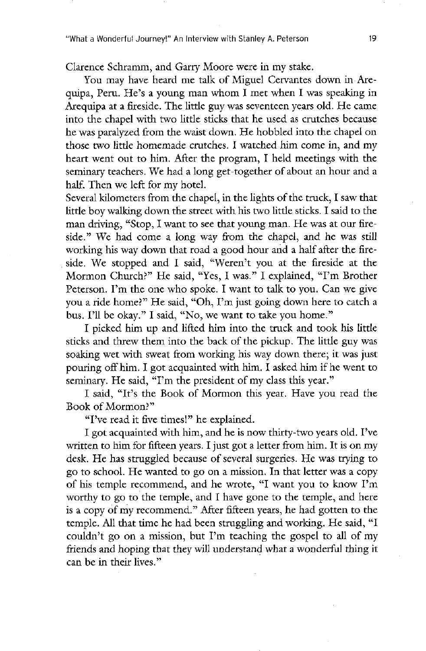Clarence Schramm, and Garry Moore were in my stake.

You may have heard me talk of Miguel Cervantes down in Arequipa, Peru. He's a young man whom I met when I was speaking in Arequipa at a fireside. The little guy was seventeen years old. He came into the chapel with two little sticks that he used as crutches because he was paralyzed from the waist down. He hobbled into the chapel on those two little homemade crutches. I watched him come in, and my heart went out to him. After the program, I held meetings with the seminary teachers. We had a long get-together of about an hour and a half. Then we left for my hotel.

Several kilometers from the chapel, in the lights of the truck, I saw that little boy walking down the street with his two little sticks. I said to the man driving, "Stop, I want to see that young man. He was at our fireside." We had come a long way from the chapel, and he was still working his way down that road a good hour and a half after the fireside. We stopped and I said, "Weren't you at the fireside at the Mormon Church?" He said, "Yes, I was." I explained, "I'm Brother Peterson. I'm the one who spoke. I want to talk to you. Can we give you a ride home?" He said, "Oh, I'm just going down here to catch a bus. I'll be okay." I said, "No, we want to take you home."

I picked him up and lifted him into the truck and took his little sticks and threw them into the back of the pickup. The little guy was soaking wet with sweat from working his way down there; it was just pouring off him. I got acquainted with him. I asked him if he went to seminary. He said, "I'm the president of my class this year."

I said, "It's the Book of Mormon this year. Have you read the Book of Mormon?"

"I've read it five times!" he explained.

I got acquainted with him, and he is now thirty-two years old. I've written to him for fifteen years. I just got a letter from him. It is on my desk. He has struggled because of several surgeries. He was trying to go to school. He wanted to go on a mission. In that letter was a copy of his temple recommend, and he wrote, "I want you to know I'm worthy to go to the temple, and I have gone to the temple, and here is a copy of my recommend." After fifteen years, he had gotten to the temple. All that time he had been struggling and working. He said, "I couldn't go on a mission, but I'm teaching the gospel to all of my friends and hoping that they will understand what a wonderful thing it can be in their lives."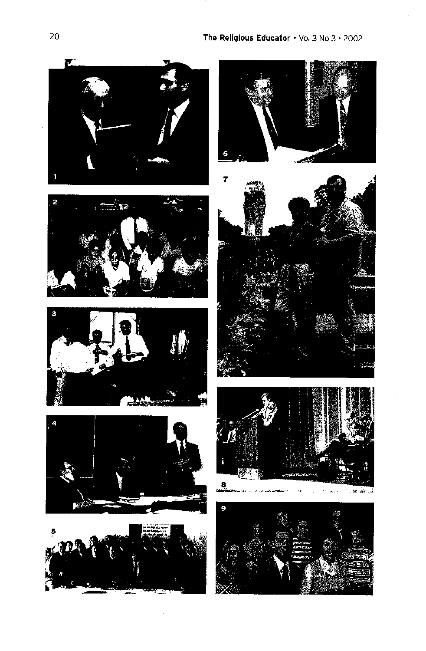The Religious Educator  $\cdot$  Vol 3 No 3  $\cdot$  2002



 $20\,$ 











and the state and  $\alpha$  , the  $\beta$  -Gaussian ÷ t.e.  $\ddot{\phantom{a}}$  $\sim$ 

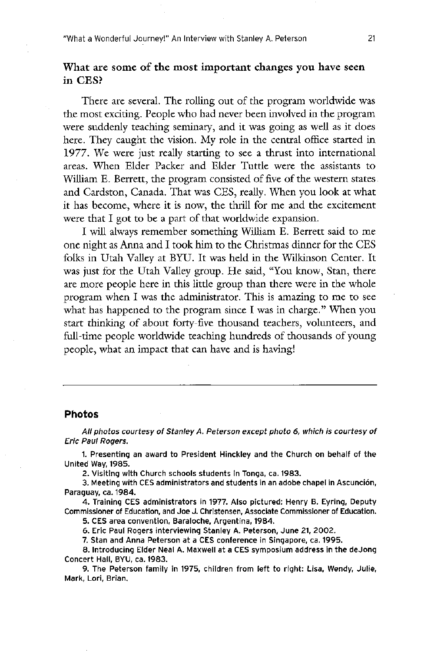# what are some of the most important changes you have seen in CES

There are several. The rolling out of the program worldwide was the most exciting. People who had never been involved in the program were suddenly teaching seminary, and it was going as well as it does here. They caught the vision. My role in the central office started in 1977. We were just really starting to see a thrust into international areas. When Elder Packer and Elder Tuttle were the assistants to William E. Berrett, the program consisted of five of the western states and Cardston, Canada. That was CES, really. When you look at what it has become, where it is now, the thrill for me and the excitement were that I got to be a part of that worldwide expansion.

I will always remember something William E. Berrett said to me one night as Anna and I took him to the Christmas dinner for the CES folks in Utah Valley at BYU. It was held in the Wilkinson Center. It was just for the Utah Valley group. He said, "You know, Stan, there are more people here in this little group than there were in the whole program when I was the administrator. This is amazing to me to see what has happened to the program since I was in charge." When you start thinking of about forty-five thousand teachers, volunteers, and full-time people worldwide teaching hundreds of thousands of young people, what an impact that can have and is having!

### photos

All photos courtesy of Stanley A. Peterson except photo 6, which is courtesy of **Eric Paul Rogers.** 

1. Presenting an award to President Hinckley and the Church on behalf of the United Way, 1985.

2. Visiting with Church schools students in Tonga, ca. 1983.

3. Meeting with CES administrators and students in an adobe chapel in Ascunción, Paraguay, ca. 1984.

4. Training CES administrators in 1977. Also pictured: Henry B. Eyring, Deputy Commissioner of Education, and Joe J. Christensen, Associate Commissioner of Education.

5. CES area convention, Baraloche, Argentina, 1984.

6. Eric Paul Rogers interviewing Stanley A. Peterson, June 21, 2002.

7. Stan and Anna Peterson at a CES conference in Singapore, ca. 1995.

8. Introducing Elder Neal A. Maxwell at a CES symposium address in the deJong Concert Hall, BYU, ca. 1983.

9. The Peterson family in 1975, children from left to right: Lisa, Wendy, Julie, Mark, Lori, Brian.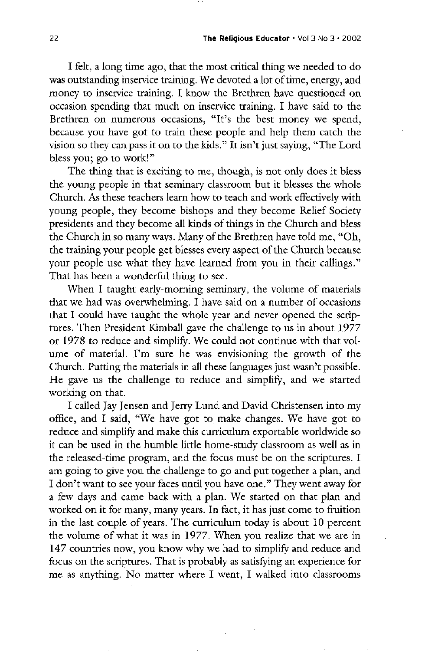I felt, a long time ago, that the most critical thing we needed to do was outstanding inservice training. We devoted a lot of time, energy, and money to inservice training. I know the Brethren have questioned on occasion spending that much on inservice training. I have said to the Brethren on numerous occasions, "It's the best money we spend, because you have got to train these people and help them catch the vision so they can pass it on to the kids." It isn't just saying, "The Lord bless you; go to work!"

The thing that is exciting to me, though, is not only does it bless the young people in that seminary classroom but it blesses the whole church As these teachers learn how to teach and work effectively with young people, they become bishops and they become Relief Society presidents and they become all kinds of things in the church and bless the Church in so many ways. Many of the Brethren have told me, "Oh, the training your people get blesses every aspect of the Church because your people use what they have learned from you in their callings." That has been a wonderful thing to see.

When I taught early-morning seminary, the volume of materials that we had was overwhelming. I have said on a number of occasions that I could have taught the whole year and never opened the scriptures. Then President Kimball gave the challenge to us in about 1977 or 1978 to reduce and simplify. We could not continue with that volume of material. I'm sure he was envisioning the growth of the Church. Putting the materials in all these languages just wasn't possible. He gave us the challenge to reduce and simplify, and we started working on that I called Jay Jensen and Jerry Lund and David Christensen into my office, and I said, "We have got to make changes. We have got to reduce and simplify and make this curriculum exportable worldwide so it can be used in the humble little home-study classroom as well as in the released-time program, and the focus must be on the scriptures. I am going to give you the challenge to go and put together a plan, and I don't want to see your faces until you have one." They went away for <sup>a</sup> few days and came back with a plan we started on that plan and worked on it for many, many years. In fact, it has just come to fruition in the last couple of years. The curriculum today is about 10 percent the volume of what it was in 1977. When you realize that we are in 147 countries now, you know why we had to simplify and reduce and focus on the scriptures. That is probably as satisfying an experience for me as anything. No matter where I went, I walked into classrooms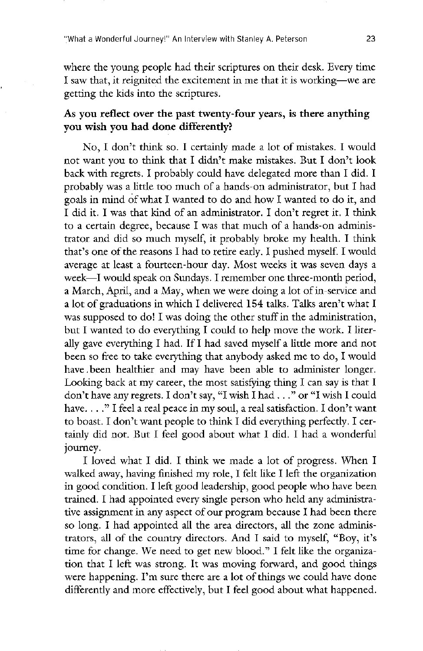where the young people had their scriptures on their desk. Every time I saw that, it reignited the excitement in me that it is working—we are getting the kids into the scriptures

# As you reflect over the past twenty-four years, is there anything you wish you had done differently

No, I don't think so. I certainly made a lot of mistakes. I would not want you to think that I didn't make mistakes. But I don't look back with regrets. I probably could have delegated more than I did. I probably was a little too much of a hands-on administrator, but I had goals in mind of what I wanted to do and how I wanted to do it, and I did it. I was that kind of an administrator. I don't regret it. I think to a certain degree, because I was that much of a hands-on administrator and did so much myself, it probably broke my health. I think that's one of the reasons I had to retire early. I pushed myself. I would average at least a fourteen-hour day. Most weeks it was seven days a week—I would speak on Sundays. I remember one three-month period, a March, April, and a May, when we were doing a lot of in-service and a lot of graduations in which I delivered 154 talks. Talks aren't what I was supposed to do! I was doing the other stuff in the administration, but I wanted to do everything I could to help move the work. I literally gave everything I had. If I had saved myself a little more and not been so free to take everything that anybody asked me to do, I would have been healthier and may have been able to administer longer. Looking back at my career, the most satisfying thing I can say is that I don't have any regrets. I don't say, "I wish I had . . ." or "I wish I could have...." I feel a real peace in my soul, a real satisfaction. I don't want to boast. I don't want people to think I did everything perfectly. I certainly did not. But I feel good about what I did. I had a wonderful journey I loved what I did. I think we made a lot of progress. When I walked away, having finished my role, I felt like I left the organization in good condition. I left good leadership, good people who have been trained. I had appointed every single person who held any administrative assignment in any aspect of our program because I had been there so long. I had appointed all the area directors, all the zone administrators, all of the country directors. And I said to myself, "Boy, it's time for change. We need to get new blood." I felt like the organization that I left was strong. It was moving forward, and good things were happening. I'm sure there are a lot of things we could have done differently and more effectively, but I feel good about what happened.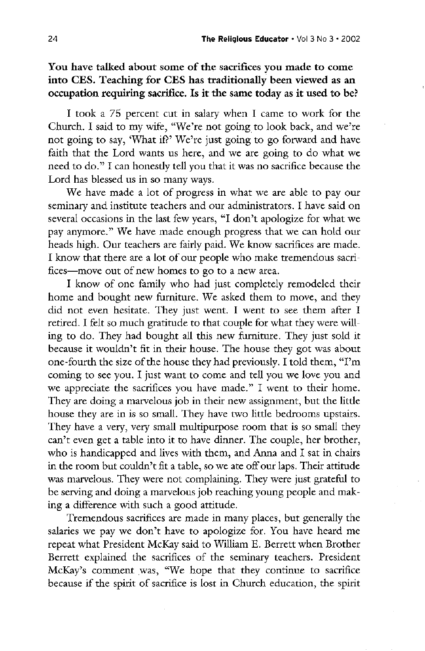you have talked about some of the sacrifices you made to come into CES. Teaching for CES has traditionally been viewed as an occupation requiring sacrifice. Is it the same today as it used to be?

I took a 75 percent cut in salary when I came to work for the Church. I said to my wife, "We're not going to look back, and we're not going to say, 'What if?' We're just going to go forward and have faith that the Lord wants us here, and we are going to do what we need to do." I can honestly tell you that it was no sacrifice because the Lord has blessed us in so many ways.

We have made a lot of progress in what we are able to pay our seminary and institute teachers and our administrators. I have said on several occasions in the last few years, "I don't apologize for what we pay anymore." We have made enough progress that we can hold our heads high. Our teachers are fairly paid. We know sacrifices are made. I know that there are a lot of our people who make tremendous sacrifices—move out of new homes to go to a new area.

I know of one family who had just completely remodeled their home and bought new furniture. We asked them to move, and they did not even hesitate. They just went. I went to see them after  $I$ retired. I felt so much gratitude to that couple for what they were willing to do. They had bought all this new furniture. They just sold it because it wouldn't fit in their house. The house they got was about one-fourth the size of the house they had previously. I told them, "I'm coming to see you. I just want to come and tell you we love you and we appreciate the sacrifices you have made." I went to their home. They are doing a marvelous job in their new assignment, but the little house they are in is so small. They have two little bedrooms upstairs. They have a very, very small multipurpose room that is so small they can't even get a table into it to have dinner. The couple, her brother, who is handicapped and lives with them, and Anna and I sat in chairs in the room but couldn't fit a table, so we ate off our laps. Their attitude was marvelous. They were not complaining. They were just grateful to be serving and doing a marvelous job reaching young people and mak ing a difference with such a good attitude Tremendous sacrifices are made in many places, but generally the salaries we pay we don't have to apologize for. You have heard me repeat what President McKay said to William E. Berrett when Brother Berrett explained the sacrifices of the seminary teachers. President McKay's comment was, "We hope that they continue to sacrifice because if the spirit of sacrifice is lost in Church education, the spirit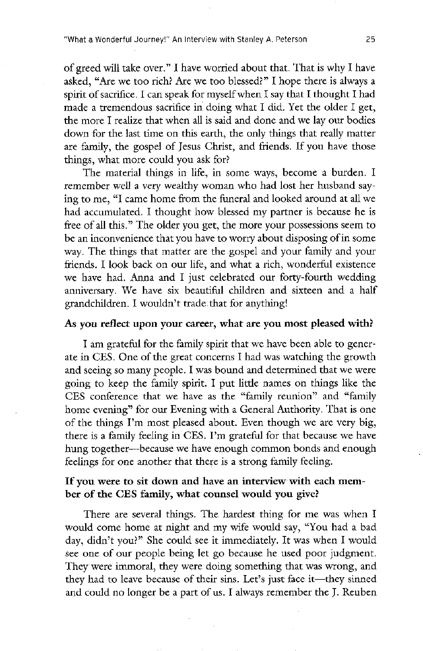"What a Wonderful Journey!" An Interview with Stanley A. Peterson 25

of greed will take over." I have worried about that. That is why I have asked, "Are we too rich? Are we too blessed?" I hope there is always a spirit of sacrifice. I can speak for myself when I say that I thought I had made a tremendous sacrifice in doing what I did. Yet the older I get, the more I realize that when all is said and done and we lay our bodies down for the last time on this earth, the only things that really matter are family, the gospel of Jesus Christ, and friends. If you have those things, what more could you ask for?

The material things in life, in some ways, become a burden. I remember well a very wealthy woman who had lost her husband saying to me, "I came home from the funeral and looked around at all we had accumulated. I thought how blessed my partner is because he is free of all this." The older you get, the more your possessions seem to be an inconvenience that you have to worry about disposing of in some way. The things that matter are the gospel and your family and your friends. I look back on our life, and what a rich, wonderful existence we have had. Anna and I just celebrated our forty-fourth wedding anniversary. We have six beautiful children and sixteen and a half grandchildren. I wouldn't trade that for anything!

#### As you reflect upon your career, what are you most pleased with?

I am grateful for the family spirit that we have been able to generate in CES. One of the great concerns I had was watching the growth and seeing so many people. I was bound and determined that we were going to keep the family spirit. I put little names on things like the CES conference that we have as the "family reunion" and "family home evening" for our Evening with a General Authority. That is one of the things I'm most pleased about. Even though we are very big, there is a family feeling in CES. I'm grateful for that because we have hung together—because we have enough common bonds and enough feelings for one another that there is a strong family feeling

## If you were to sit down and have an interview with each member of the CES family, what counsel would you give?

There are several things. The hardest thing for me was when I would come home at night and my wife would say, "You had a bad day, didn't you?" She could see it immediately. It was when I would see one of our people being let go because he used poor judgment They were immoral, they were doing something that was wrong, and they had to leave because of their sins. Let's just face it—they sinned and could no longer be a part of us. I always remember the J. Reuben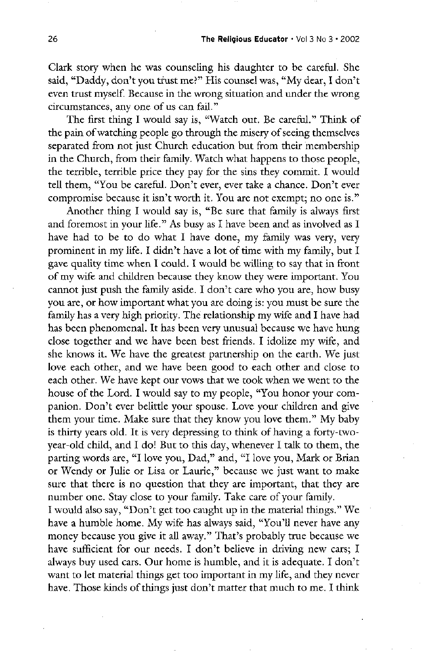Clark story when he was counseling his daughter to be careful. She said, "Daddy, don't you trust me?" His counsel was, "My dear, I don't even trust myself. Because in the wrong situation and under the wrong circumstances, any one of us can fail."

The first thing I would say is, "Watch out. Be careful." Think of the pain of watching people go through the misery of seeing themselves separated from not just Church education but from their membership in the Church, from their family. Watch what happens to those people, the terrible, terrible price they pay for the sins they commit. I would tell them, "You be careful. Don't ever, ever take a chance. Don't ever compromise because it isn't worth it. You are not exempt; no one is."

Another thing I would say is, "Be sure that family is always first and foremost in your life." As busy as I have been and as involved as I have had to be to do what I have done, my family was very, very prominent in my life. I didn't have a lot of time with my family, but I gave quality time when I could. I would be willing to say that in front of my wife and children because they know they were important. You cannot just push the family aside. I don't care who you are, how busy you are, or how important what you are doing is: you must be sure the family has a very high priority. The relationship my wife and I have had has been phenomenal. It has been very unusual because we have hung close together and we have been best friends. I idolize my wife, and she knows it. We have the greatest partnership on the earth. We just love each other, and we have been good to each other and close to each other. We have kept our vows that we took when we went to the house of the Lord. I would say to my people, "You honor your companion. Don't ever belittle your spouse. Love your children and give them your time. Make sure that they know you love them." My baby is thirty years old. It is very depressing to think of having a forty-twoyear-old child, and I do! But to this day, whenever I talk to them, the parting words are, "I love you, Dad," and, "I love you, Mark or Brian or Wendy or Julie or Lisa or Laurie," because we just want to make sure that there is no question that they are important, that they are number one. Stay close to your family. Take care of your family. I would also say, "Don't get too caught up in the material things." We have a humble home. My wife has always said, "You'll never have any money because you give it all away." That's probably true because we have sufficient for our needs. I don't believe in driving new cars; I always buy used cars. Our home is humble, and it is adequate. I don't want to let material things get too important in my life, and they never have. Those kinds of things just don't matter that much to me. I think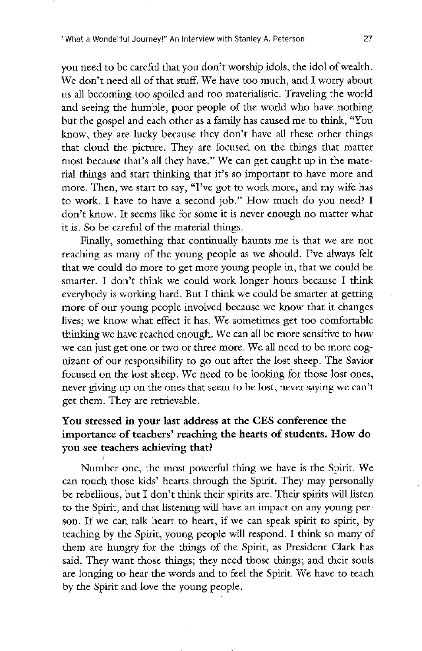you need to be careful that you don't worship idols, the idol of wealth. We don't need all of that stuff. We have too much, and I worry about us all becoming too spoiled and too materialistic. Traveling the world and seeing the humble, poor people of the world who have nothing but the gospel and each other as a family has caused me to think, "You know, they are lucky because they don't have all these other things that cloud the picture. They are focused on the things that matter most because that's all they have." We can get caught up in the material things and start thinking that it's so important to have more and more. Then, we start to say, "I've got to work more, and my wife has to work. I have to have a second job." How much do you need? I don't know. It seems like for some it is never enough no matter what it is. So be careful of the material things.

Finally, something that continually haunts me is that we are not reaching as many of the young people as we should. I've always felt that we could do more to get more young people in, that we could be smarter. I don't think we could work longer hours because I think everybody is working hard. But I think we could be smarter at getting more of our young people involved because we know that it changes lives; we know what effect it has. We sometimes get too comfortable thinking we have reached enough. We can all be more sensitive to how we can just get one or two or three more. We all need to be more cognizant of our responsibility to go out after the lost sheep. The Savior focused on the lost sheep. We need to be looking for those lost ones, never giving up on the ones that seem to be lost, never saying we can't get them. They are retrievable.

# you stressed in your last address at the CES conference the importance of teachers' reaching the hearts of students. How do you see teachers achieving that

Number one, the most powerful thing we have is the Spirit. We can touch those kids' hearts through the Spirit. They may personally be rebellious, but I don't think their spirits are. Their spirits will listen to the Spirit, and that listening will have an impact on any young person. If we can talk heart to heart, if we can speak spirit to spirit, by teaching by the Spirit, young people will respond. I think so many of them are hungry for the things of the Spirit, as President Clark has said. They want those things; they need those things; and their souls are longing to hear the words and to feel the Spirit. We have to teach by the Spirit and love the young people.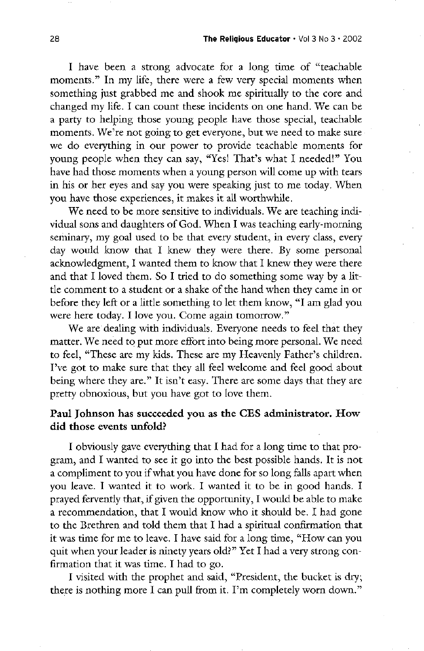I have been a strong advocate for a long time of "teachable" moments." In my life, there were a few very special moments when something just grabbed me and shook me spiritually to the core and changed my life. I can count these incidents on one hand. We can be a party to helping those young people have those special, teachable moments. We're not going to get everyone, but we need to make sure we do everything in our power to provide teachable moments for young people when they can say, "Yes! That's what I needed!" You have had those moments when a young person will come up with tears in his or her eyes and say you were speaking just to me today. When you have those experiences, it makes it all worthwhile.

We need to be more sensitive to individuals. We are teaching individual sons and daughters of God. When I was teaching early-morning seminary, my goal used to be that every student, in every class, every day would know that I knew they were there. By some personal acknowledgment, I wanted them to know that I knew they were there and that I loved them. So I tried to do something some way by a little comment to a student or a shake of the hand when they came in or before they left or a little something to let them know, "I am glad you were here today. I love you. Come again tomorrow." We are dealing with individuals. Everyone needs to feel that they matter. We need to put more effort into being more personal. We need to feel, "These are my kids. These are my Heavenly Father's children. I've got to make sure that they all feel welcome and feel good about being where they are." It isn't easy. There are some days that they are pretty obnoxious, but you have got to love them.

# Paul Johnson has succeeded you as the CES administrator. How did those events unfold

I obviously gave everything that I had for a long time to that program, and I wanted to see it go into the best possible hands. It is not a compliment to you ifwhat you have done for so long falls apart when you leave. I wanted it to work. I wanted it to be in good hands. I prayed fervently that, if given the opportunity, I would be able to make a recommendation, that I would know who it should be. I had gone to the Brethren and told them that I had a spiritual confirmation that it was time for me to leave. I have said for a long time, "How can you quit when your leader is ninety years old?" Yet I had a very strong confirmation that it was time. I had to go.

I visited with the prophet and said, "President, the bucket is dry; there is nothing more I can pull from it. I'm completely worn down."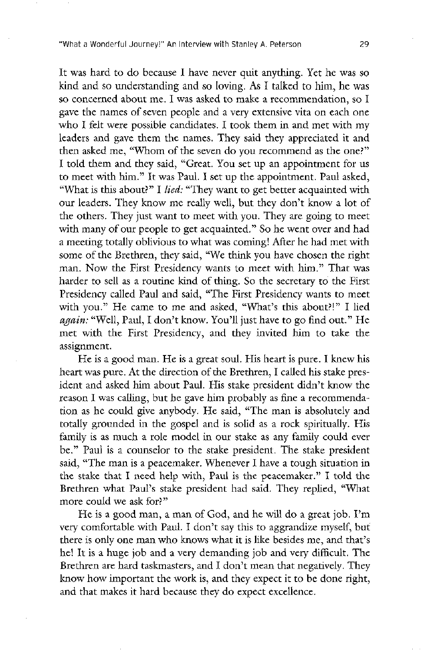It was hard to do because I have never quit anything. Yet he was so kind and so understanding and so loving. As I talked to him, he was so concerned about me. I was asked to make a recommendation, so I gave the names of seven people and a very extensive vita on each one who I felt were possible candidates. I took them in and met with my leaders and gave them the names. They said they appreciated it and then asked me, "Whom of the seven do you recommend as the one?" I told them and they said, "Great. You set up an appointment for us to meet with him." It was Paul. I set up the appointment. Paul asked, "What is this about?" I *lied*: "They want to get better acquainted with our leaders. They know me really well, but they don't know a lot of the others. They just want to meet with you. They are going to meet with many of our people to get acquainted." So he went over and had a meeting totally oblivious to what was coming! After he had met with some of the Brethren, they said, "We think you have chosen the right man. Now the First Presidency wants to meet with him." That was harder to sell as a routine kind of thing. So the secretary to the First Presidency called Paul and said, "The First Presidency wants to meet with you." He came to me and asked, "What's this about?!" I lied *again:* "Well, Paul, I don't know. You'll just have to go find out." He met with the First Presidency, and they invited him to take the assignment He is a good man. He is a great soul. His heart is pure. I knew his heart was pure. At the direction of the Brethren, I called his stake president and asked him about Paul. His stake president didn't know the reason I was calling, but he gave him probably as fine a recommendation as he could give anybody. He said, "The man is absolutely and totally grounded in the gospel and is solid as a rock spiritually. His family is as much a role model in our stake as any family could ever be." Paul is a counselor to the stake president. The stake president said, "The man is a peacemaker. Whenever I have a tough situation in the stake that I need help with, Paul is the peacemaker." I told the Brethren what Paul's stake president had said. They replied, "What more could we ask for?" He is a good man, a man of God, and he will do a great job. I'm very comfortable with Paul. I don't say this to aggrandize myself, but there is only one man who knows what it is like besides me, and that's he! It is a huge job and a very demanding job and very difficult. The Brethren are hard taskmasters, and I don't mean that negatively. They know how important the work is, and they expect it to be done right, and that makes it hard because they do expect excellence.